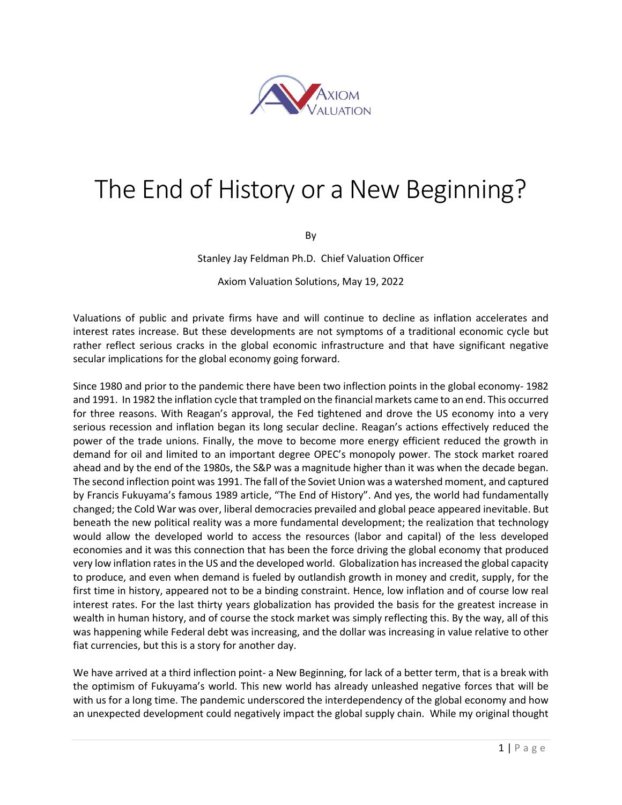

## The End of History or a New Beginning?

By

Stanley Jay Feldman Ph.D. Chief Valuation Officer

Axiom Valuation Solutions, May 19, 2022

Valuations of public and private firms have and will continue to decline as inflation accelerates and interest rates increase. But these developments are not symptoms of a traditional economic cycle but rather reflect serious cracks in the global economic infrastructure and that have significant negative secular implications for the global economy going forward.

Since 1980 and prior to the pandemic there have been two inflection points in the global economy- 1982 and 1991. In 1982 the inflation cycle that trampled on the financial markets came to an end. This occurred for three reasons. With Reagan's approval, the Fed tightened and drove the US economy into a very serious recession and inflation began its long secular decline. Reagan's actions effectively reduced the power of the trade unions. Finally, the move to become more energy efficient reduced the growth in demand for oil and limited to an important degree OPEC's monopoly power. The stock market roared ahead and by the end of the 1980s, the S&P was a magnitude higher than it was when the decade began. The second inflection point was 1991. The fall of the Soviet Union was a watershed moment, and captured by Francis Fukuyama's famous 1989 article, "The End of History". And yes, the world had fundamentally changed; the Cold War was over, liberal democracies prevailed and global peace appeared inevitable. But beneath the new political reality was a more fundamental development; the realization that technology would allow the developed world to access the resources (labor and capital) of the less developed economies and it was this connection that has been the force driving the global economy that produced very low inflation rates in the US and the developed world. Globalization has increased the global capacity to produce, and even when demand is fueled by outlandish growth in money and credit, supply, for the first time in history, appeared not to be a binding constraint. Hence, low inflation and of course low real interest rates. For the last thirty years globalization has provided the basis for the greatest increase in wealth in human history, and of course the stock market was simply reflecting this. By the way, all of this was happening while Federal debt was increasing, and the dollar was increasing in value relative to other fiat currencies, but this is a story for another day.

We have arrived at a third inflection point- a New Beginning, for lack of a better term, that is a break with the optimism of Fukuyama's world. This new world has already unleashed negative forces that will be with us for a long time. The pandemic underscored the interdependency of the global economy and how an unexpected development could negatively impact the global supply chain. While my original thought